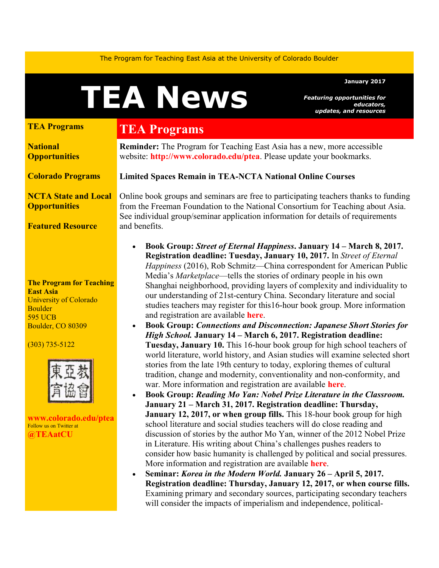The Program for Teaching East Asia at the University of Colorado Boulder

# TEA News

#### January 2017

Featuring opportunities for educators, updates, and resources

#### TEA Programs

**National Opportunities** 

Colorado Programs

#### NCTA State and Local **Opportunities**

Featured Resource

The Program for Teaching East Asia University of Colorado Boulder 595 UCB Boulder, CO 80309

#### (303) 735-5122



www.colorado.edu/ptea Follow us on Twitter at @TEAatCU

## TEA Programs

Reminder: The Program for Teaching East Asia has a new, more accessible website: http://www.colorado.edu/ptea. Please update your bookmarks.

Limited Spaces Remain in TEA-NCTA National Online Courses

Online book groups and seminars are free to participating teachers thanks to funding from the Freeman Foundation to the National Consortium for Teaching about Asia. See individual group/seminar application information for details of requirements and benefits.

- Book Group: Street of Eternal Happiness. January 14 March 8, 2017. Registration deadline: Tuesday, January 10, 2017. In Street of Eternal Happiness (2016), Rob Schmitz—China correspondent for American Public Media's *Marketplace*—tells the stories of ordinary people in his own Shanghai neighborhood, providing layers of complexity and individuality to our understanding of 21st-century China. Secondary literature and social studies teachers may register for this16-hour book group. More information and registration are available here.
- Book Group: Connections and Disconnection: Japanese Short Stories for High School. January 14 – March 6, 2017. Registration deadline: Tuesday, January 10. This 16-hour book group for high school teachers of world literature, world history, and Asian studies will examine selected short stories from the late 19th century to today, exploring themes of cultural tradition, change and modernity, conventionality and non-conformity, and war. More information and registration are available here.
- Book Group: Reading Mo Yan: Nobel Prize Literature in the Classroom. January 21 – March 31, 2017. Registration deadline: Thursday, January 12, 2017, or when group fills. This 18-hour book group for high school literature and social studies teachers will do close reading and discussion of stories by the author Mo Yan, winner of the 2012 Nobel Prize in Literature. His writing about China's challenges pushes readers to consider how basic humanity is challenged by political and social pressures. More information and registration are available here.
- Seminar: Korea in the Modern World. January 26 April 5, 2017. Registration deadline: Thursday, January 12, 2017, or when course fills. Examining primary and secondary sources, participating secondary teachers will consider the impacts of imperialism and independence, political-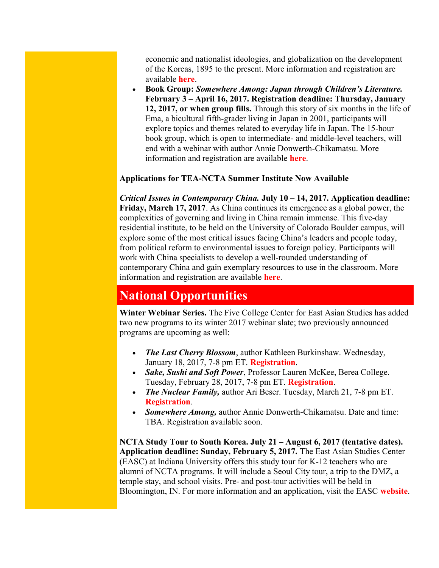economic and nationalist ideologies, and globalization on the development of the Koreas, 1895 to the present. More information and registration are available here.

 Book Group: Somewhere Among: Japan through Children's Literature. February 3 – April 16, 2017. Registration deadline: Thursday, January 12, 2017, or when group fills. Through this story of six months in the life of Ema, a bicultural fifth-grader living in Japan in 2001, participants will explore topics and themes related to everyday life in Japan. The 15-hour book group, which is open to intermediate- and middle-level teachers, will end with a webinar with author Annie Donwerth-Chikamatsu. More information and registration are available **here**.

### Applications for TEA-NCTA Summer Institute Now Available

Critical Issues in Contemporary China. July  $10 - 14$ , 2017. Application deadline: Friday, March 17, 2017. As China continues its emergence as a global power, the complexities of governing and living in China remain immense. This five-day residential institute, to be held on the University of Colorado Boulder campus, will explore some of the most critical issues facing China's leaders and people today, from political reform to environmental issues to foreign policy. Participants will work with China specialists to develop a well-rounded understanding of contemporary China and gain exemplary resources to use in the classroom. More information and registration are available here.

## National Opportunities

Winter Webinar Series. The Five College Center for East Asian Studies has added two new programs to its winter 2017 webinar slate; two previously announced programs are upcoming as well:

- The Last Cherry Blossom, author Kathleen Burkinshaw. Wednesday, January 18, 2017, 7-8 pm ET. Registration.
- Sake, Sushi and Soft Power, Professor Lauren McKee, Berea College. Tuesday, February 28, 2017, 7-8 pm ET. Registration.
- The Nuclear Family, author Ari Beser. Tuesday, March 21, 7-8 pm ET. Registration.
- Somewhere Among, author Annie Donwerth-Chikamatsu. Date and time: TBA. Registration available soon.

NCTA Study Tour to South Korea. July 21 – August 6, 2017 (tentative dates). Application deadline: Sunday, February 5, 2017. The East Asian Studies Center (EASC) at Indiana University offers this study tour for K-12 teachers who are alumni of NCTA programs. It will include a Seoul City tour, a trip to the DMZ, a temple stay, and school visits. Pre- and post-tour activities will be held in Bloomington, IN. For more information and an application, visit the EASC website.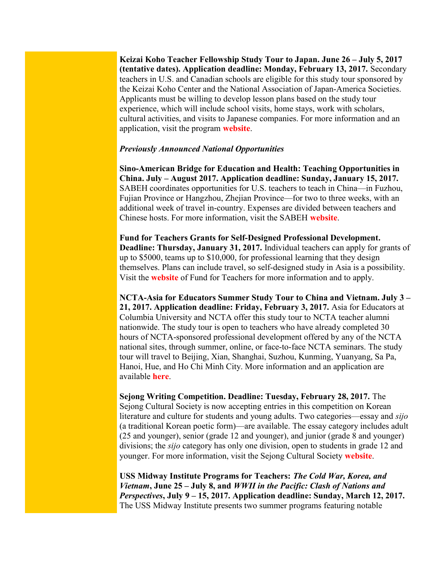Keizai Koho Teacher Fellowship Study Tour to Japan. June 26 – July 5, 2017 (tentative dates). Application deadline: Monday, February 13, 2017. Secondary teachers in U.S. and Canadian schools are eligible for this study tour sponsored by the Keizai Koho Center and the National Association of Japan-America Societies. Applicants must be willing to develop lesson plans based on the study tour experience, which will include school visits, home stays, work with scholars, cultural activities, and visits to Japanese companies. For more information and an application, visit the program website.

#### Previously Announced National Opportunities

Sino-American Bridge for Education and Health: Teaching Opportunities in China. July – August 2017. Application deadline: Sunday, January 15, 2017. SABEH coordinates opportunities for U.S. teachers to teach in China—in Fuzhou, Fujian Province or Hangzhou, Zhejian Province—for two to three weeks, with an additional week of travel in-country. Expenses are divided between teachers and Chinese hosts. For more information, visit the SABEH website.

Fund for Teachers Grants for Self-Designed Professional Development. Deadline: Thursday, January 31, 2017. Individual teachers can apply for grants of up to \$5000, teams up to \$10,000, for professional learning that they design themselves. Plans can include travel, so self-designed study in Asia is a possibility. Visit the website of Fund for Teachers for more information and to apply.

NCTA-Asia for Educators Summer Study Tour to China and Vietnam. July 3 – 21, 2017. Application deadline: Friday, February 3, 2017. Asia for Educators at Columbia University and NCTA offer this study tour to NCTA teacher alumni nationwide. The study tour is open to teachers who have already completed 30 hours of NCTA-sponsored professional development offered by any of the NCTA national sites, through summer, online, or face-to-face NCTA seminars. The study tour will travel to Beijing, Xian, Shanghai, Suzhou, Kunming, Yuanyang, Sa Pa, Hanoi, Hue, and Ho Chi Minh City. More information and an application are available here.

Sejong Writing Competition. Deadline: Tuesday, February 28, 2017. The Sejong Cultural Society is now accepting entries in this competition on Korean literature and culture for students and young adults. Two categories—essay and *sijo* (a traditional Korean poetic form)—are available. The essay category includes adult (25 and younger), senior (grade 12 and younger), and junior (grade 8 and younger) divisions; the *sijo* category has only one division, open to students in grade 12 and younger. For more information, visit the Sejong Cultural Society website.

USS Midway Institute Programs for Teachers: The Cold War, Korea, and Vietnam, June 25 – July 8, and WWII in the Pacific: Clash of Nations and Perspectives, July 9 – 15, 2017. Application deadline: Sunday, March 12, 2017. The USS Midway Institute presents two summer programs featuring notable